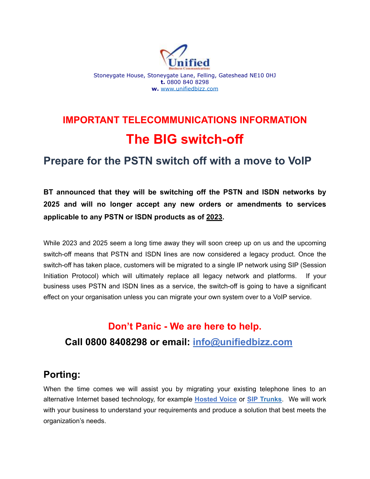

# **IMPORTANT TELECOMMUNICATIONS INFORMATION The BIG switch-off**

## **Prepare for the PSTN switch off with a move to VoIP**

**BT announced that they will be switching off the PSTN and ISDN networks by 2025 and will no longer accept any new orders or amendments to services applicable to any PSTN or ISDN products as of 2023.** 

While 2023 and 2025 seem a long time away they will soon creep up on us and the upcoming switch-off means that PSTN and ISDN lines are now considered a legacy product. Once the switch-off has taken place, customers will be migrated to a single IP network using SIP (Session Initiation Protocol) which will ultimately replace all legacy network and platforms. If your business uses PSTN and ISDN lines as a service, the switch-off is going to have a significant effect on your organisation unless you can migrate your own system over to a VoIP service.

## **Don't Panic - We are here to help. Call 0800 8408298 or email: [info@unifiedbizz.com](mailto:info@unifiedbizz.com)**

## **Porting:**

When the time comes we will assist you by migrating your existing telephone lines to an alternative Internet based technology, for example **[Hosted Voice](http://www.nte.works/page/hosted-voice)** or **SIP Trunks**. We will work with your business to understand your requirements and produce a solution that best meets the organization's needs.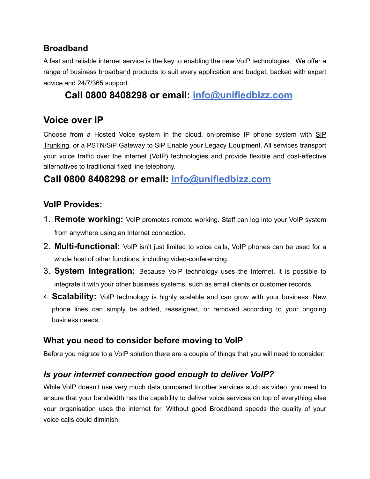#### **Broadband**

A fast and reliable internet service is the key to enabling the new VoIP technologies. We offer a range of business [broadband](http://www.nte.works/page/connect) products to suit every application and budget, backed with expert advice and 24/7/365 support.

## **Call 0800 8408298 or email: [info@unifiedbizz.com](mailto:info@unifiedbizz.com)**

## **Voice over IP**

Choose from a [Hosted Voice](http://www.nte.works/page/hosted-voice) system in the cloud, on-premise IP phone system with [SIP](http://www.nte.works/page/sip-trunking)  [Trunking](http://www.nte.works/page/sip-trunking), or a PSTN/SiP Gateway to SiP Enable your Legacy Equipment. All services transport your voice traffic over the internet (VoIP) technologies and provide flexible and cost-effective alternatives to traditional fixed line telephony.

## **Call 0800 8408298 or email: [info@unifiedbizz.com](mailto:info@unifiedbizz.com)**

#### **VoIP Provides:**

- 1. **Remote working:** VoIP promotes remote working. Staff can log into your VoIP system from anywhere using an Internet connection.
- 2. **Multi-functional:** VoIP isn't just limited to voice calls, VoIP phones can be used for a whole host of other functions, including video-conferencing.
- 3. **System Integration:** Because VoIP technology uses the Internet, it is possible to integrate it with your other business systems, such as email clients or customer records.
- 4. **Scalability:** VoIP technology is highly scalable and can grow with your business. New phone lines can simply be added, reassigned, or removed according to your ongoing business needs.

#### **What you need to consider before moving to VoIP**

Before you migrate to a VoIP solution there are a couple of things that you will need to consider:

#### *Is your internet connection good enough to deliver VoIP?*

While VoIP doesn't use very much data compared to other services such as video, you need to ensure that your bandwidth has the capability to deliver voice services on top of everything else your organisation uses the internet for. Without good Broadband speeds the quality of your voice calls could diminish.